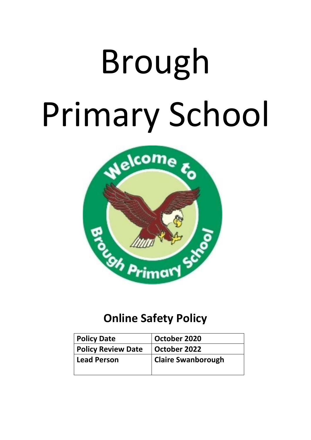# Brough Primary School



## **Online Safety Policy**

| <b>Policy Date</b>        | October 2020              |
|---------------------------|---------------------------|
| <b>Policy Review Date</b> | October 2022              |
| <b>Lead Person</b>        | <b>Claire Swanborough</b> |
|                           |                           |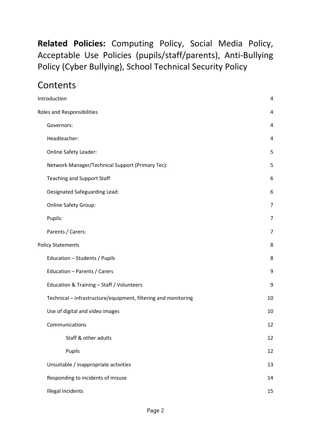**Related Policies:** Computing Policy, Social Media Policy, Acceptable Use Policies (pupils/staff/parents), Anti-Bullying Policy (Cyber Bullying), School Technical Security Policy

## **Contents**

| Introduction                                                   | $\overline{4}$ |
|----------------------------------------------------------------|----------------|
| Roles and Responsibilities                                     | 4              |
| Governors:                                                     | 4              |
| Headteacher:                                                   | 4              |
| <b>Online Safety Leader:</b>                                   | 5              |
| Network Manager/Technical Support (Primary Tec):               | 5              |
| <b>Teaching and Support Staff</b>                              | 6              |
| Designated Safeguarding Lead:                                  | 6              |
| <b>Online Safety Group:</b>                                    | $\overline{7}$ |
| Pupils:                                                        | $\overline{7}$ |
| Parents / Carers:                                              | $\overline{7}$ |
| <b>Policy Statements</b>                                       | 8              |
| Education - Students / Pupils                                  | 8              |
| Education - Parents / Carers                                   | 9              |
| Education & Training - Staff / Volunteers                      | 9              |
| Technical - infrastructure/equipment, filtering and monitoring | 10             |
| Use of digital and video images                                | 10             |
| Communications                                                 | 12             |
| Staff & other adults                                           | 12             |
| Pupils                                                         | 12             |
| Unsuitable / inappropriate activities                          | 13             |
| Responding to incidents of misuse                              | 14             |
| <b>Illegal Incidents</b>                                       | 15             |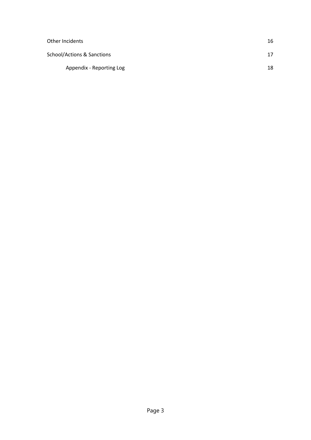| Other Incidents            | 16 |
|----------------------------|----|
| School/Actions & Sanctions | 17 |
| Appendix - Reporting Log   | 18 |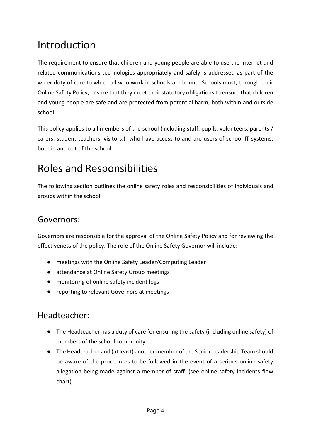## <span id="page-3-0"></span>Introduction

The requirement to ensure that children and young people are able to use the internet and related communications technologies appropriately and safely is addressed as part of the wider duty of care to which all who work in schools are bound. Schools must, through their Online Safety Policy, ensure that they meet their statutory obligations to ensure that children and young people are safe and are protected from potential harm, both within and outside school.

This policy applies to all members of the school (including staff, pupils, volunteers, parents / carers, student teachers, visitors,) who have access to and are users of school IT systems, both in and out of the school.

## <span id="page-3-1"></span>Roles and Responsibilities

The following section outlines the online safety roles and responsibilities of individuals and groups within the school.

#### <span id="page-3-2"></span>Governors:

Governors are responsible for the approval of the Online Safety Policy and for reviewing the effectiveness of the policy. The role of the Online Safety Governor will include:

- meetings with the Online Safety Leader/Computing Leader
- attendance at Online Safety Group meetings
- monitoring of online safety incident logs
- reporting to relevant Governors at meetings

#### <span id="page-3-3"></span>Headteacher:

- The Headteacher has a duty of care for ensuring the safety (including online safety) of members of the school community.
- The Headteacher and (at least) another member of the Senior Leadership Team should be aware of the procedures to be followed in the event of a serious online safety allegation being made against a member of staff. (see online safety incidents flow chart)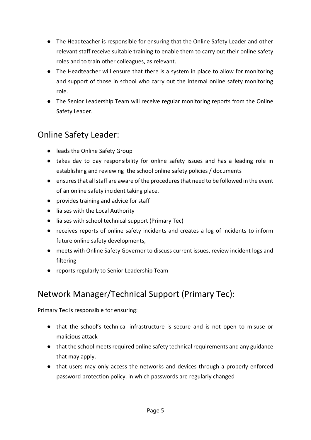- The Headteacher is responsible for ensuring that the Online Safety Leader and other relevant staff receive suitable training to enable them to carry out their online safety roles and to train other colleagues, as relevant.
- The Headteacher will ensure that there is a system in place to allow for monitoring and support of those in school who carry out the internal online safety monitoring role.
- The Senior Leadership Team will receive regular monitoring reports from the Online Safety Leader.

## <span id="page-4-0"></span>Online Safety Leader:

- leads the Online Safety Group
- takes day to day responsibility for online safety issues and has a leading role in establishing and reviewing the school online safety policies / documents
- ensures that all staff are aware of the procedures that need to be followed in the event of an online safety incident taking place.
- provides training and advice for staff
- liaises with the Local Authority
- liaises with school technical support (Primary Tec)
- receives reports of online safety incidents and creates a log of incidents to inform future online safety developments,
- meets with Online Safety Governor to discuss current issues, review incident logs and filtering
- reports regularly to Senior Leadership Team

## <span id="page-4-1"></span>Network Manager/Technical Support (Primary Tec):

Primary Tec is responsible for ensuring:

- that the school's technical infrastructure is secure and is not open to misuse or malicious attack
- that the school meets required online safety technical requirements and any guidance that may apply.
- that users may only access the networks and devices through a properly enforced password protection policy, in which passwords are regularly changed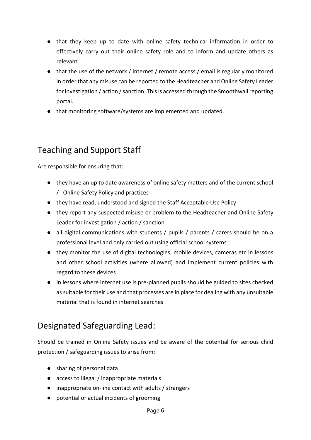- that they keep up to date with online safety technical information in order to effectively carry out their online safety role and to inform and update others as relevant
- that the use of the network / internet / remote access / email is regularly monitored in order that any misuse can be reported to the Headteacher and Online Safety Leader for investigation / action / sanction. This is accessed through the Smoothwall reporting portal.
- that monitoring software/systems are implemented and updated.

## <span id="page-5-0"></span>Teaching and Support Staff

Are responsible for ensuring that:

- they have an up to date awareness of online safety matters and of the current school / Online Safety Policy and practices
- they have read, understood and signed the Staff Acceptable Use Policy
- they report any suspected misuse or problem to the Headteacher and Online Safety Leader for investigation / action / sanction
- all digital communications with students / pupils / parents / carers should be on a professional level and only carried out using official school systems
- they monitor the use of digital technologies, mobile devices, cameras etc in lessons and other school activities (where allowed) and implement current policies with regard to these devices
- in lessons where internet use is pre-planned pupils should be guided to sites checked as suitable for their use and that processes are in place for dealing with any unsuitable material that is found in internet searches

## <span id="page-5-1"></span>Designated Safeguarding Lead:

Should be trained in Online Safety issues and be aware of the potential for serious child protection / safeguarding issues to arise from:

- sharing of personal data
- access to illegal / inappropriate materials
- inappropriate on-line contact with adults / strangers
- potential or actual incidents of grooming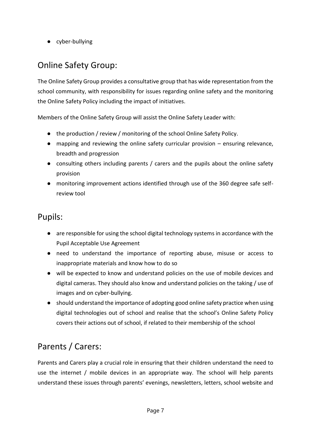● cyber-bullying

## <span id="page-6-0"></span>Online Safety Group:

The Online Safety Group provides a consultative group that has wide representation from the school community, with responsibility for issues regarding online safety and the monitoring the Online Safety Policy including the impact of initiatives.

Members of the Online Safety Group will assist the Online Safety Leader with:

- the production / review / monitoring of the school Online Safety Policy.
- mapping and reviewing the online safety curricular provision ensuring relevance, breadth and progression
- consulting others including parents / carers and the pupils about the online safety provision
- monitoring improvement actions identified through use of the 360 degree safe selfreview tool

#### <span id="page-6-1"></span>Pupils:

- are responsible for using the school digital technology systems in accordance with the Pupil Acceptable Use Agreement
- need to understand the importance of reporting abuse, misuse or access to inappropriate materials and know how to do so
- will be expected to know and understand policies on the use of mobile devices and digital cameras. They should also know and understand policies on the taking / use of images and on cyber-bullying.
- should understand the importance of adopting good online safety practice when using digital technologies out of school and realise that the school's Online Safety Policy covers their actions out of school, if related to their membership of the school

## <span id="page-6-2"></span>Parents / Carers:

Parents and Carers play a crucial role in ensuring that their children understand the need to use the internet / mobile devices in an appropriate way. The school will help parents understand these issues through parents' evenings, newsletters, letters, school website and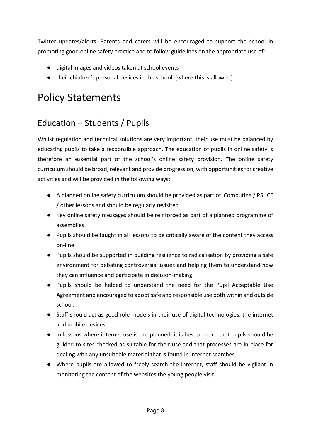Twitter updates/alerts. Parents and carers will be encouraged to support the school in promoting good online safety practice and to follow guidelines on the appropriate use of:

- digital images and videos taken at school events
- their children's personal devices in the school (where this is allowed)

## <span id="page-7-0"></span>Policy Statements

## <span id="page-7-1"></span>Education – Students / Pupils

Whilst regulation and technical solutions are very important, their use must be balanced by educating pupils to take a responsible approach. The education of pupils in online safety is therefore an essential part of the school's online safety provision. The online safety curriculum should be broad, relevant and provide progression, with opportunities for creative activities and will be provided in the following ways:

- A planned online safety curriculum should be provided as part of Computing / PSHCE / other lessons and should be regularly revisited
- Key online safety messages should be reinforced as part of a planned programme of assemblies.
- Pupils should be taught in all lessons to be critically aware of the content they access on-line.
- Pupils should be supported in building resilience to radicalisation by providing a safe environment for debating controversial issues and helping them to understand how they can influence and participate in decision-making.
- Pupils should be helped to understand the need for the Pupil Acceptable Use Agreement and encouraged to adopt safe and responsible use both within and outside school.
- Staff should act as good role models in their use of digital technologies, the internet and mobile devices
- In lessons where internet use is pre-planned, it is best practice that pupils should be guided to sites checked as suitable for their use and that processes are in place for dealing with any unsuitable material that is found in internet searches.
- Where pupils are allowed to freely search the internet, staff should be vigilant in monitoring the content of the websites the young people visit.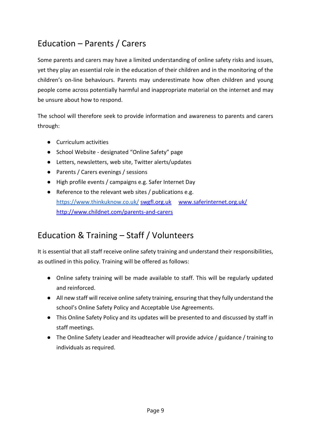## <span id="page-8-0"></span>Education – Parents / Carers

Some parents and carers may have a limited understanding of online safety risks and issues, yet they play an essential role in the education of their children and in the monitoring of the children's on-line behaviours. Parents may underestimate how often children and young people come across potentially harmful and inappropriate material on the internet and may be unsure about how to respond.

The school will therefore seek to provide information and awareness to parents and carers through:

- Curriculum activities
- School Website designated "Online Safety" page
- Letters, newsletters, web site, Twitter alerts/updates
- Parents / Carers evenings / sessions
- High profile events / campaigns e.g. Safer Internet Day
- Reference to the relevant web sites / publications e.g. <https://www.thinkuknow.co.uk/> [swgfl.org.uk](http://swgfl.org.uk/) www.saferinternet.org.uk/ <http://www.childnet.com/parents-and-carers>

## <span id="page-8-1"></span>Education & Training – Staff / Volunteers

It is essential that all staff receive online safety training and understand their responsibilities, as outlined in this policy. Training will be offered as follows:

- Online safety training will be made available to staff. This will be regularly updated and reinforced.
- All new staff will receive online safety training, ensuring that they fully understand the school's Online Safety Policy and Acceptable Use Agreements.
- This Online Safety Policy and its updates will be presented to and discussed by staff in staff meetings.
- The Online Safety Leader and Headteacher will provide advice / guidance / training to individuals as required.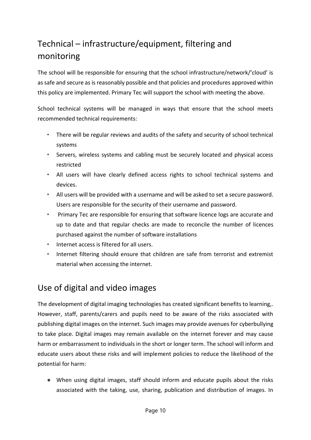## <span id="page-9-0"></span>Technical – infrastructure/equipment, filtering and monitoring

The school will be responsible for ensuring that the school infrastructure/network/'cloud' is as safe and secure as is reasonably possible and that policies and procedures approved within this policy are implemented. Primary Tec will support the school with meeting the above.

School technical systems will be managed in ways that ensure that the school meets recommended technical requirements:

- *•* There will be regular reviews and audits of the safety and security of school technical systems
- *•* Servers, wireless systems and cabling must be securely located and physical access restricted
- *•* All users will have clearly defined access rights to school technical systems and devices.
- *•* All users will be provided with a username and will be asked to set a secure password. Users are responsible for the security of their username and password.
- *•* Primary Tec are responsible for ensuring that software licence logs are accurate and up to date and that regular checks are made to reconcile the number of licences purchased against the number of software installations
- *•* Internet access is filtered for all users.
- *•* Internet filtering should ensure that children are safe from terrorist and extremist material when accessing the internet.

#### <span id="page-9-1"></span>Use of digital and video images

The development of digital imaging technologies has created significant benefits to learning,. However, staff, parents/carers and pupils need to be aware of the risks associated with publishing digital images on the internet. Such images may provide avenues for cyberbullying to take place. Digital images may remain available on the internet forever and may cause harm or embarrassment to individuals in the short or longer term. The school will inform and educate users about these risks and will implement policies to reduce the likelihood of the potential for harm:

● When using digital images, staff should inform and educate pupils about the risks associated with the taking, use, sharing, publication and distribution of images. In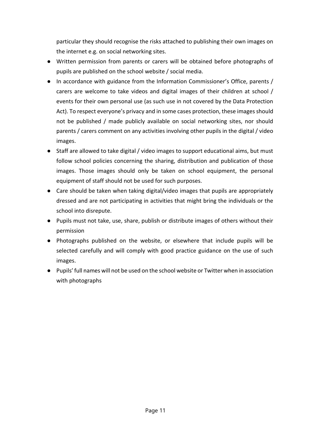particular they should recognise the risks attached to publishing their own images on the internet e.g. on social networking sites.

- Written permission from parents or carers will be obtained before photographs of pupils are published on the school website / social media.
- In accordance with guidance from the Information Commissioner's Office, parents / carers are welcome to take videos and digital images of their children at school / events for their own personal use (as such use in not covered by the Data Protection Act). To respect everyone's privacy and in some cases protection, these images should not be published / made publicly available on social networking sites, nor should parents / carers comment on any activities involving other pupils in the digital / video images.
- Staff are allowed to take digital / video images to support educational aims, but must follow school policies concerning the sharing, distribution and publication of those images. Those images should only be taken on school equipment, the personal equipment of staff should not be used for such purposes.
- Care should be taken when taking digital/video images that pupils are appropriately dressed and are not participating in activities that might bring the individuals or the school into disrepute.
- Pupils must not take, use, share, publish or distribute images of others without their permission
- Photographs published on the website, or elsewhere that include pupils will be selected carefully and will comply with good practice guidance on the use of such images.
- Pupils' full names will not be used on the school website or Twitter when in association with photographs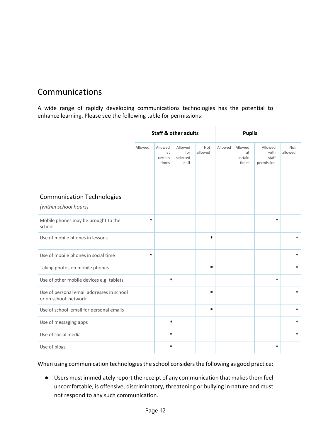## <span id="page-11-0"></span>Communications

A wide range of rapidly developing communications technologies has the potential to enhance learning. Please see the following table for permissions:

<span id="page-11-2"></span> $\mathbf{r}$ 

<span id="page-11-1"></span>Ŷ.

|                                                                   | <b>Staff &amp; other adults</b> |                                   |                                     | <b>Pupils</b>  |         |                                   |                                        |                       |
|-------------------------------------------------------------------|---------------------------------|-----------------------------------|-------------------------------------|----------------|---------|-----------------------------------|----------------------------------------|-----------------------|
|                                                                   | Allowed                         | Allowed<br>at<br>certain<br>times | Allowed<br>for<br>selected<br>staff | Not<br>allowed | Allowed | Allowed<br>at<br>certain<br>times | Allowed<br>with<br>staff<br>permission | <b>Not</b><br>allowed |
| <b>Communication Technologies</b>                                 |                                 |                                   |                                     |                |         |                                   |                                        |                       |
| (within school hours)                                             |                                 |                                   |                                     |                |         |                                   |                                        |                       |
| Mobile phones may be brought to the<br>school                     | $\ast$                          |                                   |                                     |                |         |                                   | $\ast$                                 |                       |
| Use of mobile phones in lessons                                   |                                 |                                   |                                     | *              |         |                                   |                                        | *                     |
| Use of mobile phones in social time                               | $\ast$                          |                                   |                                     |                |         |                                   |                                        | $\ast$                |
| Taking photos on mobile phones                                    |                                 |                                   |                                     | *              |         |                                   |                                        | $\ast$                |
| Use of other mobile devices e.g. tablets                          |                                 | $\ast$                            |                                     |                |         |                                   | $\ast$                                 |                       |
| Use of personal email addresses in school<br>or on school network |                                 |                                   |                                     | *              |         |                                   |                                        | $\ast$                |
| Use of school email for personal emails                           |                                 |                                   |                                     | *              |         |                                   |                                        | *                     |
| Use of messaging apps                                             |                                 | $\ast$                            |                                     |                |         |                                   |                                        | $\ast$                |
| Use of social media                                               |                                 | $\ast$                            |                                     |                |         |                                   |                                        | $\ast$                |
| Use of blogs                                                      |                                 | $\ast$                            |                                     |                |         |                                   | $\ast$                                 |                       |

When using communication technologies the school considers the following as good practice:

● Users must immediately report the receipt of any communication that makes them feel uncomfortable, is offensive, discriminatory, threatening or bullying in nature and must not respond to any such communication.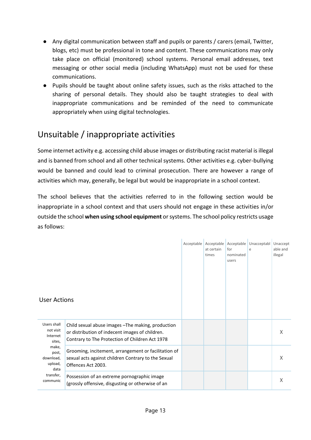- Any digital communication between staff and pupils or parents / carers (email, Twitter, blogs, etc) must be professional in tone and content. These communications may only take place on official (monitored) school systems. Personal email addresses, text messaging or other social media (including WhatsApp) must not be used for these communications.
- Pupils should be taught about online safety issues, such as the risks attached to the sharing of personal details. They should also be taught strategies to deal with inappropriate communications and be reminded of the need to communicate appropriately when using digital technologies.

## <span id="page-12-0"></span>Unsuitable / inappropriate activities

Some internet activity e.g. accessing child abuse images or distributing racist material is illegal and is banned from school and all other technical systems. Other activities e.g. cyber-bullying would be banned and could lead to criminal prosecution. There are however a range of activities which may, generally, be legal but would be inappropriate in a school context.

The school believes that the activities referred to in the following section would be inappropriate in a school context and that users should not engage in these activities in/or outside the school **when using school equipment** or systems. The school policy restricts usage as follows:

| <b>User Actions</b>                                                                                                       |                                                                                                                                                          | at certain<br>times | Acceptable Acceptable Acceptable<br>for<br>nominated<br>users | Unacceptabl Unaccept<br>e | able and<br>illegal |
|---------------------------------------------------------------------------------------------------------------------------|----------------------------------------------------------------------------------------------------------------------------------------------------------|---------------------|---------------------------------------------------------------|---------------------------|---------------------|
|                                                                                                                           |                                                                                                                                                          |                     |                                                               |                           |                     |
| Users shall<br>not visit<br>Internet<br>sites,<br>make,<br>post,<br>download,<br>upload,<br>data<br>transfer,<br>communic | Child sexual abuse images - The making, production<br>or distribution of indecent images of children.<br>Contrary to The Protection of Children Act 1978 |                     |                                                               |                           | X                   |
|                                                                                                                           | Grooming, incitement, arrangement or facilitation of<br>sexual acts against children Contrary to the Sexual<br>Offences Act 2003.                        |                     |                                                               |                           | X                   |
|                                                                                                                           | Possession of an extreme pornographic image<br>(grossly offensive, disgusting or otherwise of an                                                         |                     |                                                               |                           | X                   |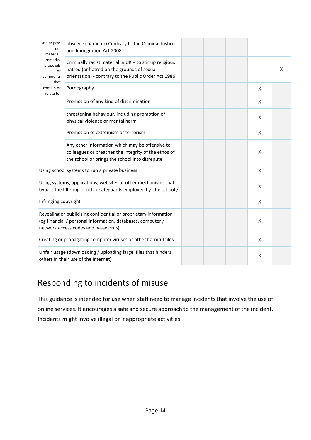| ate or pass<br>on,<br>material,                                                                                                                                        | obscene character) Contrary to the Criminal Justice<br>and Immigration Act 2008                                                                               |  |          |   |
|------------------------------------------------------------------------------------------------------------------------------------------------------------------------|---------------------------------------------------------------------------------------------------------------------------------------------------------------|--|----------|---|
| remarks,<br>proposals<br>or<br>comments                                                                                                                                | Criminally racist material in UK - to stir up religious<br>hatred (or hatred on the grounds of sexual<br>orientation) - contrary to the Public Order Act 1986 |  |          | X |
| that<br>contain or<br>relate to:                                                                                                                                       | Pornography                                                                                                                                                   |  | X        |   |
|                                                                                                                                                                        | Promotion of any kind of discrimination                                                                                                                       |  | X        |   |
|                                                                                                                                                                        | threatening behaviour, including promotion of<br>physical violence or mental harm                                                                             |  | Χ        |   |
|                                                                                                                                                                        | Promotion of extremism or terrorism                                                                                                                           |  | X        |   |
|                                                                                                                                                                        | Any other information which may be offensive to<br>colleagues or breaches the integrity of the ethos of<br>the school or brings the school into disrepute     |  | X        |   |
|                                                                                                                                                                        | Using school systems to run a private business                                                                                                                |  | Χ        |   |
|                                                                                                                                                                        | Using systems, applications, websites or other mechanisms that<br>bypass the filtering or other safeguards employed by the school /                           |  | X        |   |
| Infringing copyright                                                                                                                                                   |                                                                                                                                                               |  | $\times$ |   |
| Revealing or publicising confidential or proprietary information<br>(eg financial / personal information, databases, computer /<br>network access codes and passwords) |                                                                                                                                                               |  | Χ        |   |
| Creating or propagating computer viruses or other harmful files                                                                                                        |                                                                                                                                                               |  | Χ        |   |
| Unfair usage (downloading / uploading large files that hinders<br>others in their use of the internet)                                                                 |                                                                                                                                                               |  | $\sf X$  |   |

## <span id="page-13-0"></span>Responding to incidents of misuse

This guidance is intended for use when staff need to manage incidents that involve the use of online services. It encourages a safe and secure approach to the management of the incident. Incidents might involve illegal or inappropriate activities.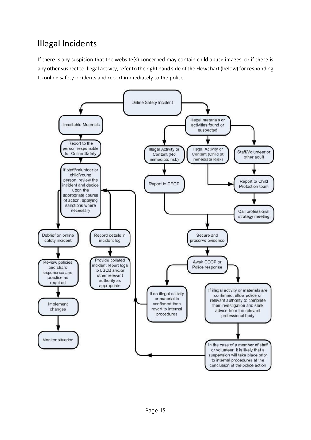## <span id="page-14-0"></span>Illegal Incidents

If there is any suspicion that the website(s) concerned may contain child abuse images, or if there is any other suspected illegal activity, refer to the right hand side of the Flowchart (below) for responding to online safety incidents and report immediately to the police.

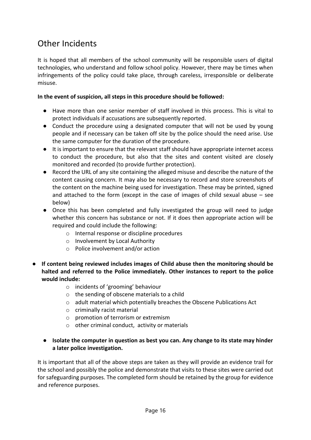### <span id="page-15-0"></span>Other Incidents

It is hoped that all members of the school community will be responsible users of digital technologies, who understand and follow school policy. However, there may be times when infringements of the policy could take place, through careless, irresponsible or deliberate misuse.

#### **In the event of suspicion, all steps in this procedure should be followed:**

- Have more than one senior member of staff involved in this process. This is vital to protect individuals if accusations are subsequently reported.
- Conduct the procedure using a designated computer that will not be used by young people and if necessary can be taken off site by the police should the need arise. Use the same computer for the duration of the procedure.
- It is important to ensure that the relevant staff should have appropriate internet access to conduct the procedure, but also that the sites and content visited are closely monitored and recorded (to provide further protection).
- Record the URL of any site containing the alleged misuse and describe the nature of the content causing concern. It may also be necessary to record and store screenshots of the content on the machine being used for investigation. These may be printed, signed and attached to the form (except in the case of images of child sexual abuse – see below)
- Once this has been completed and fully investigated the group will need to judge whether this concern has substance or not. If it does then appropriate action will be required and could include the following:
	- o Internal response or discipline procedures
	- o Involvement by Local Authority
	- o Police involvement and/or action
- **If content being reviewed includes images of Child abuse then the monitoring should be halted and referred to the Police immediately. Other instances to report to the police would include:**
	- o incidents of 'grooming' behaviour
	- o the sending of obscene materials to a child
	- o adult material which potentially breaches the Obscene Publications Act
	- o criminally racist material
	- o promotion of terrorism or extremism
	- o other criminal conduct, activity or materials
	- **Isolate the computer in question as best you can. Any change to its state may hinder a later police investigation.**

It is important that all of the above steps are taken as they will provide an evidence trail for the school and possibly the police and demonstrate that visits to these sites were carried out for safeguarding purposes. The completed form should be retained by the group for evidence and reference purposes.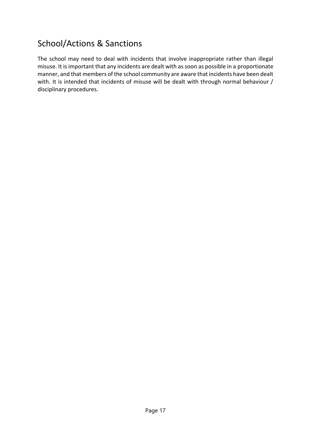## <span id="page-16-0"></span>School/Actions & Sanctions

The school may need to deal with incidents that involve inappropriate rather than illegal misuse. It is important that any incidents are dealt with as soon as possible in a proportionate manner, and that members of the school community are aware that incidents have been dealt with. It is intended that incidents of misuse will be dealt with through normal behaviour / disciplinary procedures.